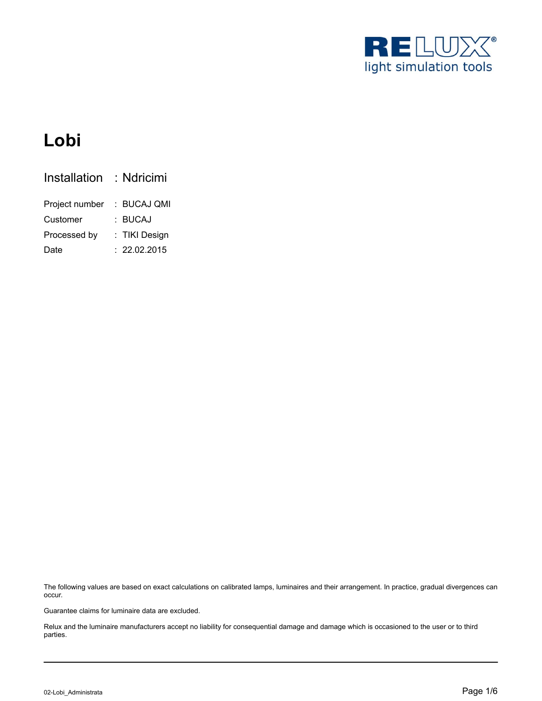

# **Lobi**

| Installation   | : Ndricimi    |
|----------------|---------------|
| Project number | : BUCAJ QMI   |
| Customer       | : BUCAJ       |
| Processed by   | : TIKI Design |
| Date           | : 22.02.2015  |

The following values are based on exact calculations on calibrated lamps, luminaires and their arrangement. In practice, gradual divergences can occur.

Guarantee claims for luminaire data are excluded.

Relux and the luminaire manufacturers accept no liability for consequential damage and damage which is occasioned to the user or to third parties.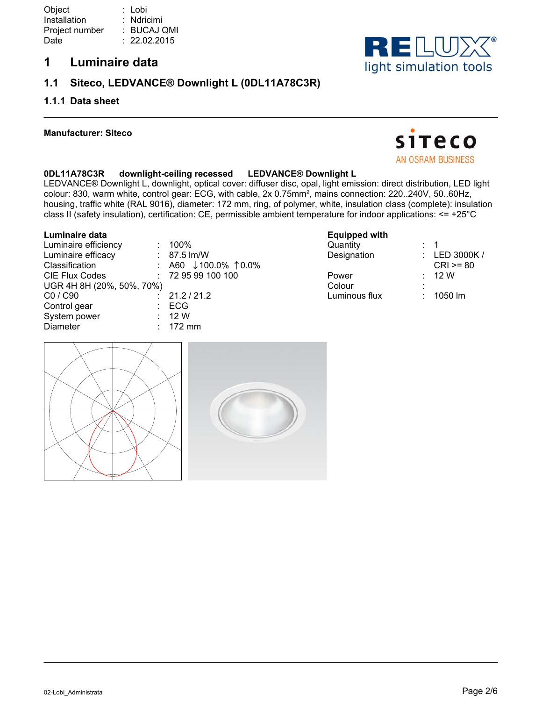## **1 Luminaire data**

## **1.1 Siteco, LEDVANCE® Downlight L (0DL11A78C3R)**

### **1.1.1 Data sheet**

#### **Manufacturer: Siteco**



**SITECO** AN OSRAM BUSINESS

### **0DL11A78C3R downlight-ceiling recessed LEDVANCE® Downlight L**

LEDVANCE® Downlight L, downlight, optical cover: diffuser disc, opal, light emission: direct distribution, LED light colour: 830, warm white, control gear: ECG, with cable, 2x 0.75mm², mains connection: 220..240V, 50..60Hz, housing, traffic white (RAL 9016), diameter: 172 mm, ring, of polymer, white, insulation class (complete): insulation class II (safety insulation), certification: CE, permissible ambient temperature for indoor applications: <= +25°C

#### **Luminaire data**

| Luminaire efficiency      | $: 100\%$                       |
|---------------------------|---------------------------------|
| Luminaire efficacy        | $: 87.5$ lm/W                   |
| Classification            | : A60 $\downarrow$ 100.0% 10.0% |
| <b>CIE Flux Codes</b>     | : 729599100100                  |
| UGR 4H 8H (20%, 50%, 70%) |                                 |
| C0 / C90                  | : 21.2 / 21.2                   |
| Control gear              | : ECG                           |
| System power              | $\therefore$ 12 W               |
| Diameter                  | $: 172 \text{ mm}$              |

#### **Equipped with**

| Quantity      |              |  |
|---------------|--------------|--|
| Designation   | LED 3000K/   |  |
|               | $CRI > = 80$ |  |
| Power         | 12 W         |  |
| Colour        |              |  |
| Luminous flux | 1050 lm      |  |
|               |              |  |

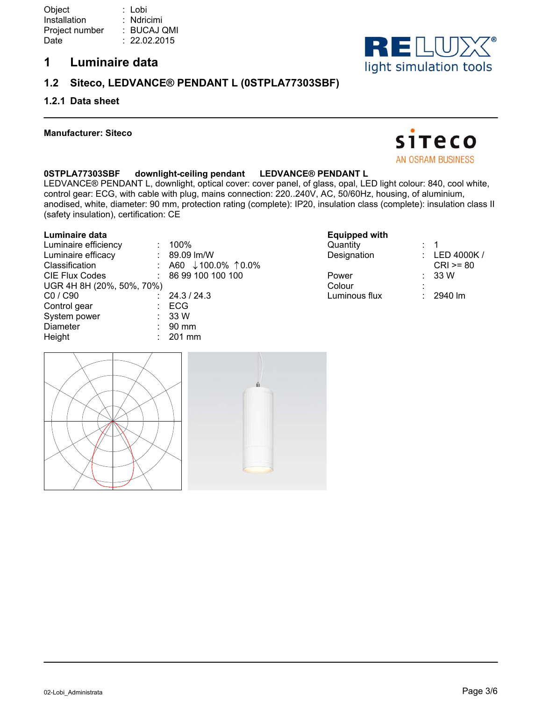## **1 Luminaire data**

## **1.2 Siteco, LEDVANCE® PENDANT L (0STPLA77303SBF)**

### **1.2.1 Data sheet**

#### **Manufacturer: Siteco**

## **0STPLA77303SBF downlight-ceiling pendant LEDVANCE® PENDANT L**

LEDVANCE® PENDANT L, downlight, optical cover: cover panel, of glass, opal, LED light colour: 840, cool white, control gear: ECG, with cable with plug, mains connection: 220..240V, AC, 50/60Hz, housing, of aluminium, anodised, white, diameter: 90 mm, protection rating (complete): IP20, insulation class (complete): insulation class II (safety insulation), certification: CE

#### **Luminaire data**

|                           | 100%                            |
|---------------------------|---------------------------------|
|                           | $: 89.09$ lm/W                  |
|                           | : A60 $\downarrow$ 100.0% 10.0% |
|                           | : 86 99 100 100 100             |
| UGR 4H 8H (20%, 50%, 70%) |                                 |
|                           | 24.3 / 24.3                     |
|                           | ECG                             |
|                           | : 33W                           |
|                           | $: 90$ mm                       |
|                           | $: 201$ mm                      |
|                           |                                 |



#### **Equipped with**

| Quantity      |              |
|---------------|--------------|
| Designation   | LED 4000K /  |
|               | $CRI > = 80$ |
| Power         | 33 W         |
| Colour        |              |
| Luminous flux | 2940 lm      |
|               |              |



**SITECO** AN OSRAM BUSINESS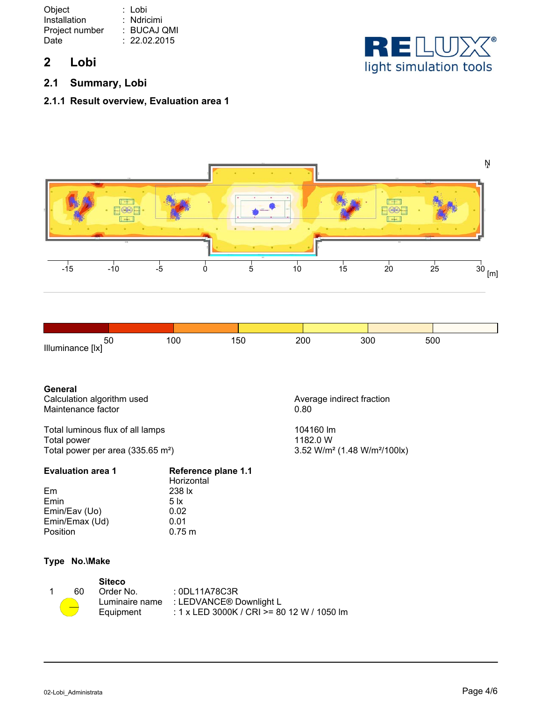| Object         | : Lobi       |
|----------------|--------------|
| Installation   | : Ndricimi   |
| Project number | : BUCAJ QMI  |
| Date           | : 22.02.2015 |
|                |              |

## **2 Lobi**

**2.1 Summary, Lobi**

## **2.1.1 Result overview, Evaluation area 1**





| 50               | 100 |  | 200<br>50 | 300 | 500 |  |
|------------------|-----|--|-----------|-----|-----|--|
| Illuminance [lx] |     |  |           |     |     |  |

# **General**

Maintenance factor

Total luminous flux of all lamps 104160 lm Total power<br>Total power per area (335.65 m<sup>2</sup>)  $3.52 \text{ W/m}^2 (1.48 \text{ W/m}^2/100 \text{k})$ Total power per area (335.65 m<sup>2</sup>)

| <b>Evaluation area 1</b> | Reference plane 1.1<br>Horizontal |  |  |
|--------------------------|-----------------------------------|--|--|
| Em                       | 238 lx                            |  |  |
| Emin                     | $5 \times$                        |  |  |
| Emin/Eav (Uo)            | 0.02                              |  |  |
| Emin/Emax (Ud)           | 0.01                              |  |  |
| Position                 | $0.75 \; m$                       |  |  |
|                          |                                   |  |  |

### **Type No.\Make**

| 60 | <b>Siteco</b><br>Order No.<br>Luminaire name | : 0DL11A78C3R<br>: LEDVANCE® Downlight L   |
|----|----------------------------------------------|--------------------------------------------|
|    | Equipment                                    | : 1 x LED 3000K / CRI >= 80 12 W / 1050 lm |

Calculation algorithm used<br>
Maintenance factor<br>
Maintenance factor<br>
Average indirect fraction<br>
0.80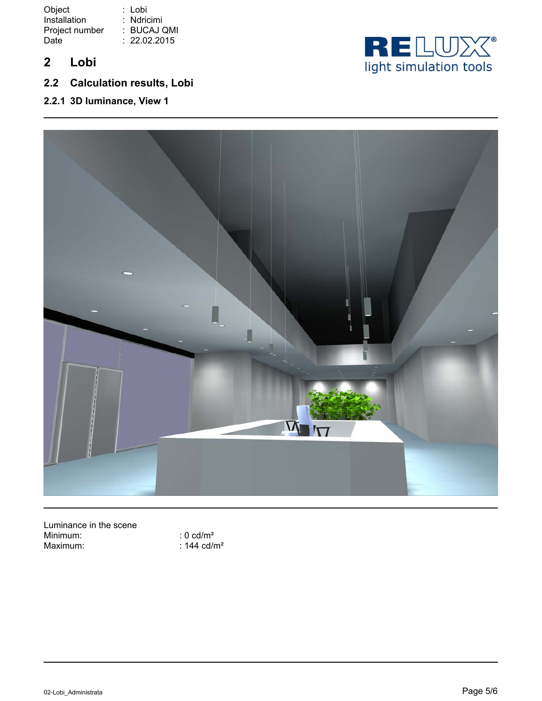Object Installation Project number : BUCAJ QMI Date : Lobi : Ndricimi : 22.02.2015

- **2 Lobi**
- **2.2 Calculation results, Lobi**
- **2.2.1 3D luminance, View 1**





Luminance in the scene Minimum:  $\frac{1}{2}$  : 0 cd/m<sup>2</sup><br>Maximum: : 144 cd/r

:  $144$  cd/m<sup>2</sup>